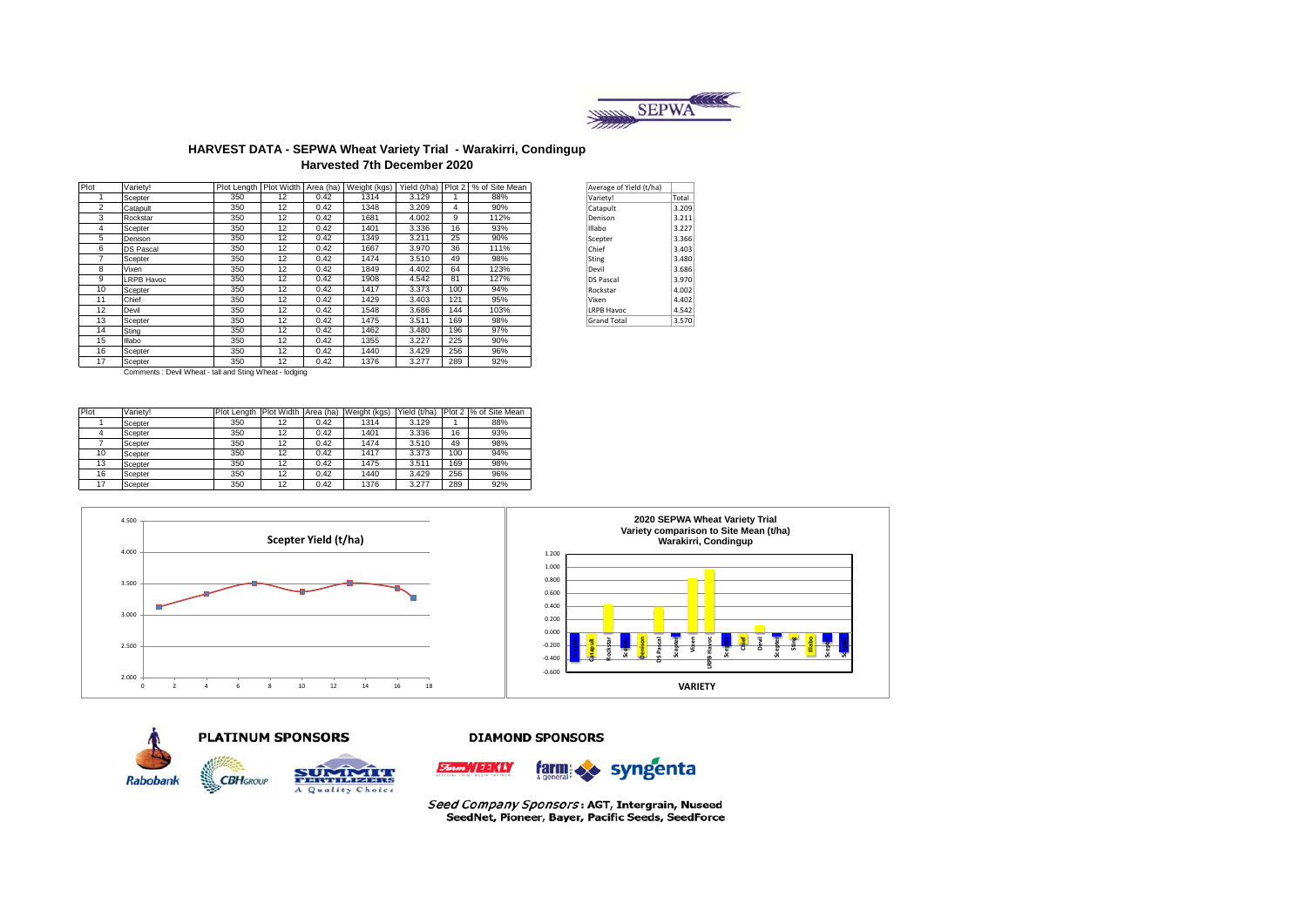

### **HARVEST DATA - SEPWA Wheat Variety Trial - Warakirri, Condingup Harvested 7th December 2020**

| Plot           | Variety!          | Plot Length   Plot Width |    | Area (ha) | Weight (kgs) |       |     | Yield (t/ha) Plot 2 % of Site Mean | Average of Yield (t/ha) |       |
|----------------|-------------------|--------------------------|----|-----------|--------------|-------|-----|------------------------------------|-------------------------|-------|
|                | Scepter           | 350                      | 12 | 0.42      | 1314         | 3.129 |     | 88%                                | Variety!                | Total |
| $\overline{2}$ | Catapult          | 350                      | 12 | 0.42      | 1348         | 3.209 | 4   | 90%                                | Catapult                | 3.209 |
| 3              | Rockstar          | 350                      | 12 | 0.42      | 1681         | 4.002 | 9   | 112%                               | Denison                 | 3.211 |
| 4              | Scepter           | 350                      | 12 | 0.42      | 1401         | 3.336 | 16  | 93%                                | Illabo                  | 3.227 |
| 5              | Denison           | 350                      | 12 | 0.42      | 1349         | 3.211 | 25  | 90%                                | Scepter                 | 3.366 |
| 6              | <b>DS Pascal</b>  | 350                      | 12 | 0.42      | 1667         | 3.970 | 36  | 111%                               | Chief                   | 3.403 |
|                | Scepter           | 350                      | 12 | 0.42      | 1474         | 3.510 | 49  | 98%                                | Sting                   | 3.480 |
| 8              | Vixen             | 350                      | 12 | 0.42      | 1849         | 4.402 | 64  | 123%                               | Devil                   | 3.686 |
| 9              | <b>LRPB Havoc</b> | 350                      | 12 | 0.42      | 1908         | 4.542 | 81  | 127%                               | <b>DS Pascal</b>        | 3.970 |
| 10             | Scepter           | 350                      | 12 | 0.42      | 1417         | 3.373 | 100 | 94%                                | Rockstar                | 4.002 |
| 11             | Chief             | 350                      | 12 | 0.42      | 1429         | 3.403 | 121 | 95%                                | Vixen                   | 4.402 |
| 12             | Devil             | 350                      | 12 | 0.42      | 1548         | 3.686 | 144 | 103%                               | <b>LRPB Havoc</b>       | 4.542 |
| 13             | Scepter           | 350                      | 12 | 0.42      | 1475         | 3.511 | 169 | 98%                                | <b>Grand Total</b>      | 3.570 |
| 14             | Sting             | 350                      | 12 | 0.42      | 1462         | 3.480 | 196 | 97%                                |                         |       |
| 15             | Illabo            | 350                      | 12 | 0.42      | 1355         | 3.227 | 225 | 90%                                |                         |       |
| 16             | Scepter           | 350                      | 12 | 0.42      | 1440         | 3.429 | 256 | 96%                                |                         |       |
| 17             | Scepter           | 350                      | 12 | 0.42      | 1376         | 3.277 | 289 | 92%                                |                         |       |

| Average of Yield (t/ha) |       |
|-------------------------|-------|
| Variety!                | Total |
| Catapult                | 3.209 |
| Denison                 | 3.211 |
| Illabo                  | 3.227 |
| Scepter                 | 3.366 |
| Chief                   | 3.403 |
| Sting                   | 3.480 |
| Devil                   | 3.686 |
| <b>DS Pascal</b>        | 3.970 |
| Rockstar                | 4.002 |
| Vixen                   | 4.402 |
| <b>LRPB Havoc</b>       | 4.542 |
| <b>Grand Total</b>      | 3.570 |

Comments : Devil Wheat - tall and Sting Wheat - lodging

| Plot | Variety! | Plot Length | Plot Width | Area (ha) | Weight (kgs) | Yield (t/ha) |     | Plot 2 % of Site Mean |
|------|----------|-------------|------------|-----------|--------------|--------------|-----|-----------------------|
|      | Scepter  | 350         | 12         | 0.42      | 1314         | 3.129        |     | 88%                   |
|      | Scepter  | 350         | 12         | 0.42      | 1401         | 3.336        | 16  | 93%                   |
|      | Scepter  | 350         | 12         | 0.42      | 1474         | 3.510        | 49  | 98%                   |
| 10   | Scepter  | 350         | 12         | 0.42      | 1417         | 3.373        | 100 | 94%                   |
| 13   | Scepter  | 350         | 12         | 0.42      | 1475         | 3.511        | 169 | 98%                   |
| 16   | Scepter  | 350         | 12         | 0.42      | 1440         | 3.429        | 256 | 96%                   |
| 17   | Scepter  | 350         | 12         | 0.42      | 1376         | 3.277        | 289 | 92%                   |









**COURSES** A Quality Choice

**CBH**GROUP

#### **DIAMOND SPONSORS**



Seed Company Sponsors: AGT, Intergrain, Nuseed SeedNet, Pioneer, Bayer, Pacific Seeds, SeedForce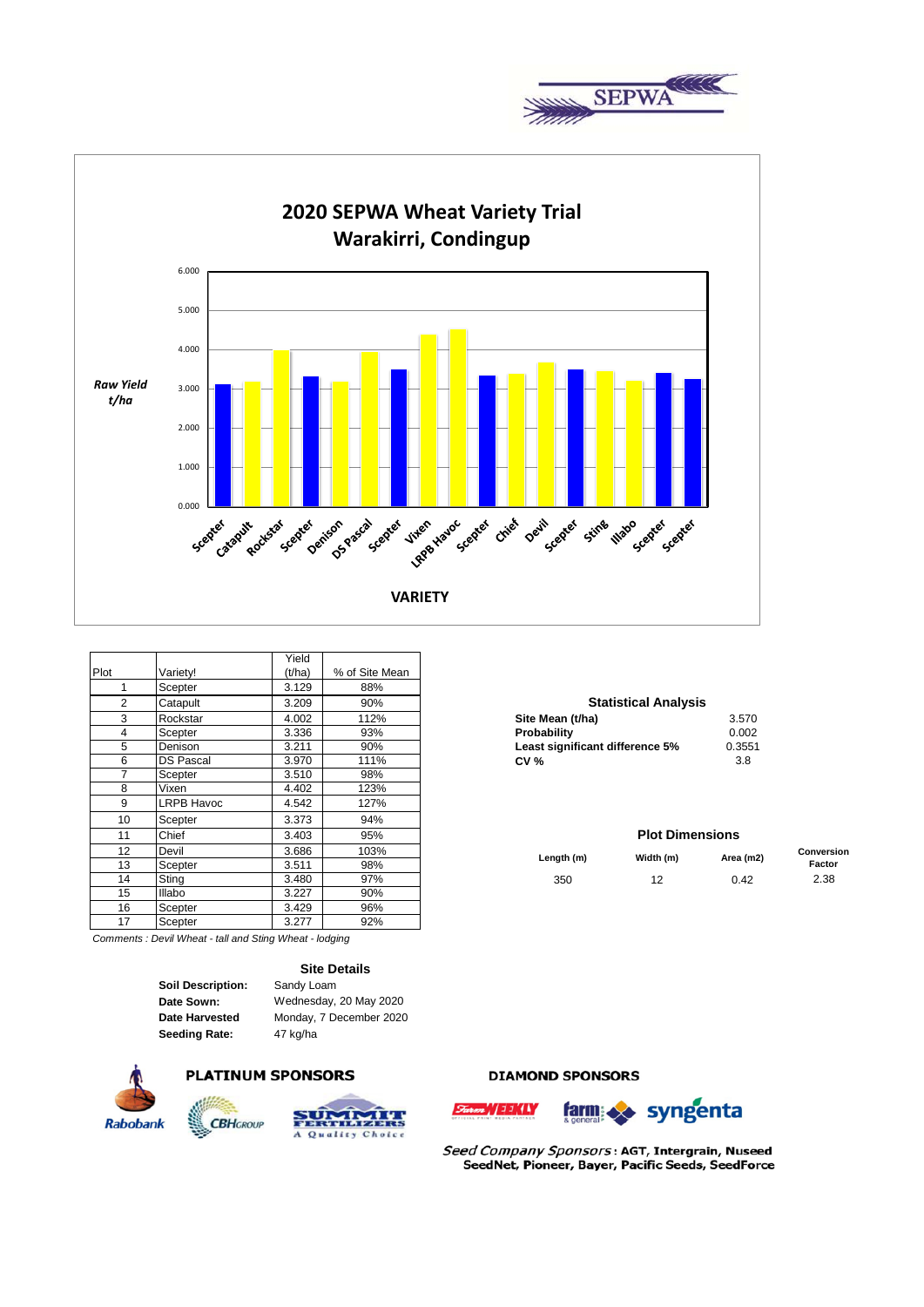



|      |                  | Yield  |                |                                 |                        |
|------|------------------|--------|----------------|---------------------------------|------------------------|
| Plot | Variety!         | (t/ha) | % of Site Mean |                                 |                        |
|      | Scepter          | 3.129  | 88%            |                                 |                        |
| 2    | Catapult         | 3.209  | 90%            | <b>Statistical Analysis</b>     |                        |
| 3    | Rockstar         | 4.002  | 112%           | Site Mean (t/ha)                | 3.570                  |
| 4    | Scepter          | 3.336  | 93%            | Probability                     | 0.002                  |
| 5    | Denison          | 3.211  | 90%            | Least significant difference 5% | 0.3551                 |
| 6    | <b>DS Pascal</b> | 3.970  | 111%           | CV <sub>0</sub>                 | 3.8                    |
|      | Scepter          | 3.510  | 98%            |                                 |                        |
| 8    | Vixen            | 4.402  | 123%           |                                 |                        |
| 9    | LRPB Havoc       | 4.542  | 127%           |                                 |                        |
| 10   | Scepter          | 3.373  | 94%            |                                 |                        |
| 11   | Chief            | 3.403  | 95%            |                                 | <b>Plot Dimensions</b> |
| 12   | Devil            | 3.686  | 103%           | Length (m)<br>Width (m)         | Area (m2               |
| 13   | Scepter          | 3.511  | 98%            |                                 |                        |
| 14   | Sting            | 3.480  | 97%            | 12 <sup>2</sup><br>350          | 0.42                   |
| 15   | <b>Illabo</b>    | 3.227  | 90%            |                                 |                        |
| 16   | Scepter          | 3.429  | 96%            |                                 |                        |
| 17   | Scepter          | 3.277  | 92%            |                                 |                        |

*Comments : Devil Wheat - tall and Sting Wheat - lodging*

**Site Details**

| Soil Description:     |
|-----------------------|
| Date Sown:            |
| <b>Date Harvested</b> |
| <b>Seeding Rate:</b>  |

**ription:** Sandy Loam **Seeding Rate:** 47 kg/ha Wednesday, 20 May 2020 Monday, 7 December 2020



## **PLATINUM SPONSORS**



## **DIAMOND SPONSORS**





Seed Company Sponsors: AGT, Intergrain, Nuseed SeedNet, Pioneer, Bayer, Pacific Seeds, SeedForce

# **Statistical Analysis**

| Site Mean (t/ha)                | 3.570  |
|---------------------------------|--------|
| Probability                     | 0.002  |
| Least significant difference 5% | 0.3551 |
| <b>CV %</b>                     | 3 8    |

### **Plot Dimensions**

| $\sim$<br>ے ا  | Devil        | 3.686        | 103%            | Length (m) | Width (m) | Area (m2) | Conversion |
|----------------|--------------|--------------|-----------------|------------|-----------|-----------|------------|
| 13             | Scepter      | FAA<br>ا ل.ب | 98%             |            |           |           | Factor     |
| 14             | Stina        | 3.480        | 97%             | 350        | . .       | 0.42      | 2.38       |
| $\overline{ }$ | $10 - 6 - 1$ | 0.027        | 00 <sup>0</sup> |            |           |           |            |